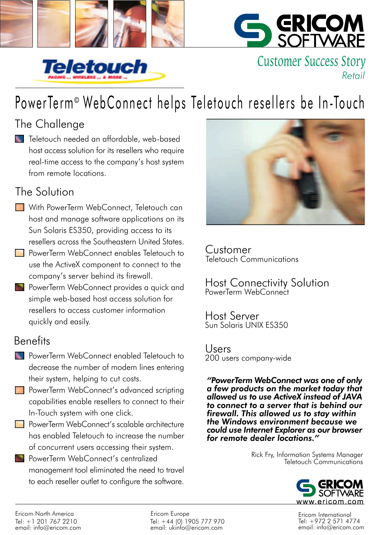





**Customer Success Story** *Retail*

# PowerTerm© WebConnect helps Teletouch resellers be In-Touch

## The Challenge

**Teletouch needed an affordable, web-based** host access solution for its resellers who require real-time access to the company's host system from remote locations.

## The Solution

- With PowerTerm WebConnect, Teletouch can host and manage software applications on its Sun Solaris ES350, providing access to its resellers across the Southeastern United States.
- **PowerTerm WebConnect enables Teletouch to** use the ActiveX component to connect to the company's server behind its firewall.
- **PowerTerm WebConnect provides a quick and** simple web-based host access solution for resellers to access customer information quickly and easily.

### **Benefits**

- **ProverTerm WebConnect enabled Teletouch to** decrease the number of modem lines entering their system, helping to cut costs.
- **PowerTerm WebConnect's advanced scripting** capabilities enable resellers to connect to their In-Touch system with one click.
- **PowerTerm WebConnect's scalable architecture** has enabled Teletouch to increase the number of concurrent users accessing their system.
- **PowerTerm WebConnect's centralized** management tool eliminated the need to travel to each reseller outlet to configure the software.



Customer Teletouch Communications

Host Connectivity Solution PowerTerm WebConnect

Host Server Sun Solaris UNIX ES350

Users 200 users company-wide

*"PowerTerm WebConnect was one of only a few products on the market today that allowed us to use ActiveX instead of JAVA to connect to a server that is behind our firewall. This allowed us to stay within the Windows environment because we could use Internet Explorer as our browser for remote dealer locations."*

> Rick Fry, Information Systems Manager Teletouch Communications



Tel: +1 201 767 2210 Tel: +44 (0) 1905 777 970 email: ukinfo@ericom.com

Ericom International Tel: +972 2 571 4774 email: info@ericom.com